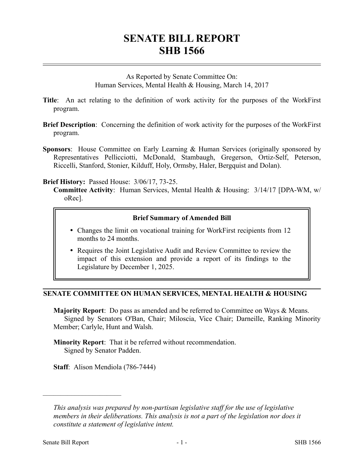# **SENATE BILL REPORT SHB 1566**

As Reported by Senate Committee On: Human Services, Mental Health & Housing, March 14, 2017

- **Title**: An act relating to the definition of work activity for the purposes of the WorkFirst program.
- **Brief Description**: Concerning the definition of work activity for the purposes of the WorkFirst program.
- **Sponsors**: House Committee on Early Learning & Human Services (originally sponsored by Representatives Pellicciotti, McDonald, Stambaugh, Gregerson, Ortiz-Self, Peterson, Riccelli, Stanford, Stonier, Kilduff, Holy, Ormsby, Haler, Bergquist and Dolan).

#### **Brief History:** Passed House: 3/06/17, 73-25.

**Committee Activity**: Human Services, Mental Health & Housing: 3/14/17 [DPA-WM, w/ oRec].

### **Brief Summary of Amended Bill**

- Changes the limit on vocational training for WorkFirst recipients from 12 months to 24 months.
- Requires the Joint Legislative Audit and Review Committee to review the impact of this extension and provide a report of its findings to the Legislature by December 1, 2025.

## **SENATE COMMITTEE ON HUMAN SERVICES, MENTAL HEALTH & HOUSING**

**Majority Report**: Do pass as amended and be referred to Committee on Ways & Means. Signed by Senators O'Ban, Chair; Miloscia, Vice Chair; Darneille, Ranking Minority Member; Carlyle, Hunt and Walsh.

**Minority Report**: That it be referred without recommendation. Signed by Senator Padden.

**Staff**: Alison Mendiola (786-7444)

––––––––––––––––––––––

*This analysis was prepared by non-partisan legislative staff for the use of legislative members in their deliberations. This analysis is not a part of the legislation nor does it constitute a statement of legislative intent.*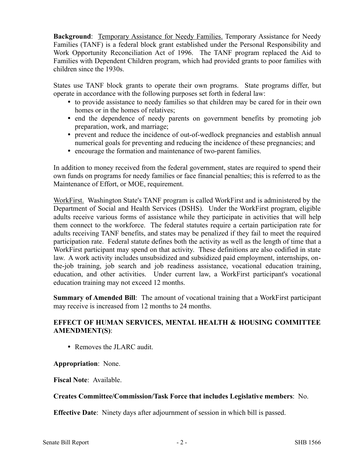**Background**: Temporary Assistance for Needy Families. Temporary Assistance for Needy Families (TANF) is a federal block grant established under the Personal Responsibility and Work Opportunity Reconciliation Act of 1996. The TANF program replaced the Aid to Families with Dependent Children program, which had provided grants to poor families with children since the 1930s.

States use TANF block grants to operate their own programs. State programs differ, but operate in accordance with the following purposes set forth in federal law:

- to provide assistance to needy families so that children may be cared for in their own homes or in the homes of relatives;
- end the dependence of needy parents on government benefits by promoting job preparation, work, and marriage;
- prevent and reduce the incidence of out-of-wedlock pregnancies and establish annual numerical goals for preventing and reducing the incidence of these pregnancies; and
- encourage the formation and maintenance of two-parent families.

In addition to money received from the federal government, states are required to spend their own funds on programs for needy families or face financial penalties; this is referred to as the Maintenance of Effort, or MOE, requirement.

WorkFirst. Washington State's TANF program is called WorkFirst and is administered by the Department of Social and Health Services (DSHS). Under the WorkFirst program, eligible adults receive various forms of assistance while they participate in activities that will help them connect to the workforce. The federal statutes require a certain participation rate for adults receiving TANF benefits, and states may be penalized if they fail to meet the required participation rate. Federal statute defines both the activity as well as the length of time that a WorkFirst participant may spend on that activity. These definitions are also codified in state law. A work activity includes unsubsidized and subsidized paid employment, internships, onthe-job training, job search and job readiness assistance, vocational education training, education, and other activities. Under current law, a WorkFirst participant's vocational education training may not exceed 12 months.

**Summary of Amended Bill**: The amount of vocational training that a WorkFirst participant may receive is increased from 12 months to 24 months.

## **EFFECT OF HUMAN SERVICES, MENTAL HEALTH & HOUSING COMMITTEE AMENDMENT(S)**:

• Removes the JLARC audit.

**Appropriation**: None.

**Fiscal Note**: Available.

#### **Creates Committee/Commission/Task Force that includes Legislative members**: No.

**Effective Date**: Ninety days after adjournment of session in which bill is passed.